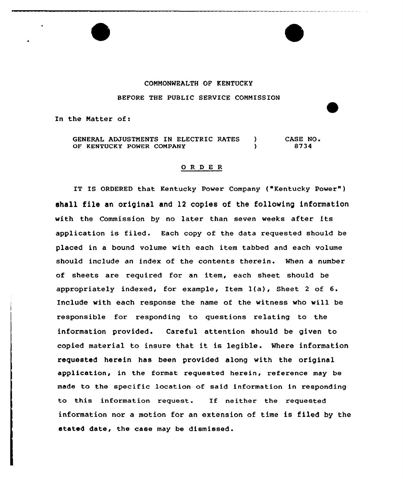## COMMONWEALTH OF KENTUCKY

## BEFORE THE PUBLIC SERVICE COMMISSION

In the Matter of:

GENERAL ADJUSTMENTS IN ELECTRIC RATES ) OF KENTUCKY POWER COMPANY ) CASE NO <sup>~</sup> 8734

## 0 R <sup>D</sup> E <sup>R</sup>

IT IS ORDERED that Kentucky Power Company ("Kentucky Power" ) shall file an original end 12 copies of the following information with the Commission by no latex than seven weeks after its application is filed. Each copy of the data requested should be placed in a bound volume with each item tabbed and each volume should include an index of the contents therein. When a number of sheets are required for an item, each sheet should be appropriately indexed, for example, Item 1(a), Sheet <sup>2</sup> of 6. Include with each response the name of the witness who will be responsible for responding to questions relating to the information provided. Careful attention should be given to copied material to insure that it is legible . Where information requested herein has been provided along with the original application, in the format requested herein, reference may be made to the specific location of said information in responding to this information request. If neither the requested information nor a motion for an extension of time is filed by the stated date, the case may be dismissed .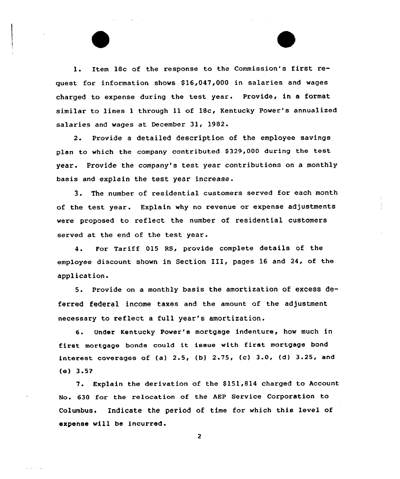1. Item 18c of the response to the Commission's first request for information shows \$16,047,000 in salaries and wages charged to expense during the test year. Provide, in a format similar to lines 1 through 11 of 18c, Kentucky Power's annualized salaries and wages at December 31, 1982.

and the control of

2. Provide a detailed description of the employee savings plan to which the company contributed 8329,000 during the test year. Provide the company's test year contributions on a monthly basis and explain the test year increase.

3. The number of residential customers served for each month of the test year. Explain why no revenue or expense adjustments vere proposed to reflect the number of residential customers served at the end of the test year .

4. For Tariff 015 RS, provide complete details of the employee discount shown in Section III, pages <sup>16</sup> and 24, of the application.

5. Provide on <sup>a</sup> monthly basis the amortization of excess deferred federal income taxes and the amount of the adjustment necessary to reflect a full year's amortization.

6. Under Kentucky Power's mortgage indenture, how much in first mortgage bonds could it issue with first mortgage bond interest coverages of (a)  $2.5$ , (b)  $2.75$ , (c)  $3.0$ , (d)  $3.25$ , and (e) 3.5?

7. Explain the derivation of the \$151,814 charged to Account No. 630 for the re1ocation of the AEP Service Corporation to Columbus. Indicate the period of time for which this level of expense vill be incurred.

 $\overline{2}$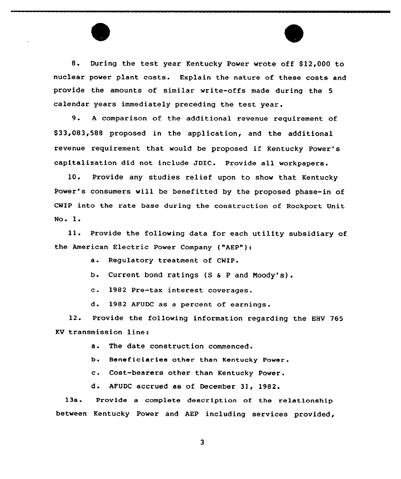8. During the test year Kentucky Power wrote off \$12,000 to nuclear power plant costs. Explain the nature of these costs and provide the amounts of similar write-offs made during the 5 calendar years immediately preceding the test year.

9. <sup>A</sup> comparison of the additional revenue requirement of \$ 33,083,588 proposed in the application, and the additional revenue requirement that would be proposed if Kentucky Power's capitalization did not include JDIC. Provide all workpapers.

10. Provide any studies relief upon to show that Kentucky Power's consumers will be benefitted by the proposed phase-in of CWIP into the rate base during the construction of Rockport Unit No. 1.

ll. Provide the following data for each utility subsidiary of the American Electric Power Company ("AEP"):

a. Regulatory treatment of CWIP.

b. Current bond ratings (S <sup>6</sup> <sup>P</sup> and Noody's).

c. <sup>1982</sup> Pre-tax interest coverages.

d. 1982 AFUDC as <sup>a</sup> percent of earnings.

12. Provide the following information regarding the EHV 765 KV transmission line:

a. The date construction commenced.

b. 8eneficiaries other than Kentucky Power.

c. Cost-bearers other than Kentucky Power.

d. AFUDC accrued as of December 31, 1982.

13a. Provide a complete description of the relationship between Kentucky Power and AEP including services provided,

 $\overline{\mathbf{3}}$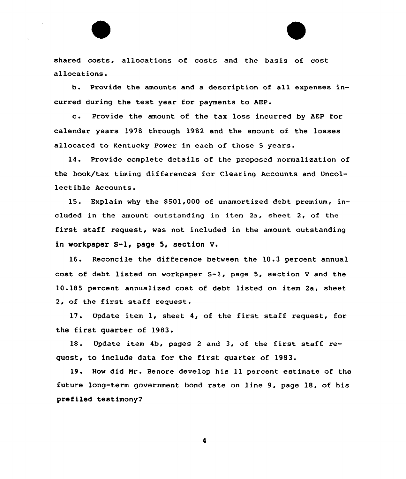shared costs, allocations of costs and the basis of cost allocations.

b. Provide the amounts and a description of all expenses incurred during the test year for payments to AEP.

c. Provide the amount of the tax loss incurred by AEP for calendar years 1978 through 1982 and the amount of the losses allocated to Kentucky Power in each of those 5 years.

14. Provide complete details of the proposed normalization of the book/tax timing differences for Clearing Accounts and Uncollectible Accounts.

15. Explain why the 8501,000 of unamortized debt premium, included in the amount outstanding in item  $2a$ , sheet  $2$ , of the first staff request, was not included in the amount outstanding in vorkpaper S-l, page 5, section V.

16. Reconcile the difference between the 10.3 percent annual cost of debt listed on workpaper S-l, page 5, section <sup>V</sup> and the 10.185 percent annualized cost of debt listed on item 2a< sheet 2, of the first staff request.

17. Update item 1, sheet 4, of the first staff request, for the first quarter of 1983.

18. Update item 4b, pages <sup>2</sup> and 3, of the first staff request, to include data for the first quarter of 1983.

19. How did Mr. Benore develop his 11 percent estimate of the future long-term government bond rate on line 9, page 18, of his prefiled testimony?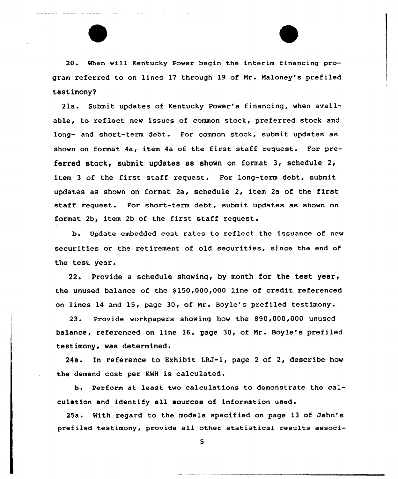20. When will Kentucky Pawer begin the interim financing program referred to on lines 17 through 19 of Nr. Naloney's prefiled test imony2

2la. Submit updates of Kentucky Power's financing, when available, to reflect new issues of common stock, preferred stock and long- and short-term debt. For common stock, submit updates as shown on format 4a, item 4a af the first staff request. For preferred stock, submit updates as shown on format 3, schedule 2, item <sup>3</sup> of the first staff request. For long-term debt, submit updates as shown on format 2a, schedule 2, item 2a of the first staff request. For short-term debt, submit updates as shown on format 2b, item 2b of the first staff request.

b. Update embedded cost rates to reflect the issuance of new securities or the retirement of old securities, since the end of the test year.

22. Provide a schedule showing, by month for the test year, the unused balance of the  $$150,000,000$  line of credit referenced on lines 14 and 15, page 30, of Mr. Boyle's prefiled testimony.

23. Provide workpapers showing how the \$90,000,000 unused balance, referenced on line 16, page 30, of Nr. Boyle's prefiled testimony, was determined.

24a. In reference to Exhibit LRJ-1, page <sup>2</sup> of 2, describe how the demand cost per KWH is calculated.

b. Perform at least two calculations to demonstrate the calculation and identify all sources of information used.

25a. With regard ta the models specified on page 13 of Jahn's prefiled testimony, provide all other statistical results associ-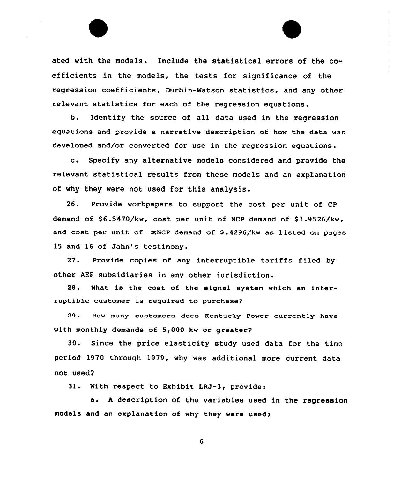ated with the models. Include the statistical errors of the  $co$ efficients in the models, the tests for significance of the regression coefficients, Durbin-Watson statistics, and any other relevant statistics for each of the regression equations.

b. Identify the source of all data used in the regression equations and provide a narrative description of how the data was developed and/or converted for use in the regression equations.

c. Specify any alternative models considered and provide the relevant statistical results from these models and an explanation of vhy they vere not used for this analysis.

26. Provide workpapers to support the cost per unit of CP demand of 86.5470/kw, cost per unit of NCP demand of 81.9526/kw, and cost per unit of  $\Sigma$ NCP demand of \$.4296/kw as listed on pages 15 and 16 of Jahn's testimony.

27. Provide copies of any interruptible tariffs filed by other AEP subsidiaries in any other jurisdiction.

28. What is the cost of the signal system which an interruptible customer is required to purchase?

29. How many customers does Kentucky Power currently have with monthly demands of 5,000 kw or greater?

30. Since the price elasticity study used data for the time period 1970 through 1979, vhy was additional more current data not used?

3l. With respect to Exhibit LRJ-3, provides

a. A description of the variables used in the regression models and an explanation of why they were used;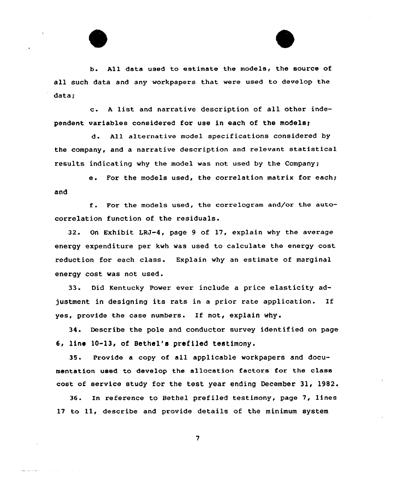

b. All data used to estimate the models, the source of all such data and any workpapers that were used to develop the data:

c. <sup>a</sup> list and narrative description of all other independent variables considered for use in each of the models;

d. ALL alternative model specifications considered by the company, and a narrative description and relevant statistical results indicating why the model was not used by the Company;

e. For the models used, the correlation matrix for each; and

f. For the models used, the correLogram and/or the autocorrelation function of the residuals.

32. On Exhibit LRJ-4, page 9 of 17, explain why the average energy expenditure per kwh was used to calculate the energy cost reduction for each class. Explain why an estimate of marginal energy cost was not used.

33. Did Kentucky Power ever include a price elasticity adjustment in designing its rats in <sup>a</sup> prior rate application. If yes, provide the case numbers. If not, explain why.

34. Describe the pole and conductor survey identified on page 6, line 10-13, of Bethel's prefiled testimony.

35. Provide a copy of all applicable workpapers and documentation used to develop the allocation factors for the class cost of service study for the test year ending December 31, 1982.

36. In reference to Bethel prefiled testimony, page 7, lines 17 to 11, describe and provide details of the minimum system

 $\overline{7}$ 

والمتوافق للمرابط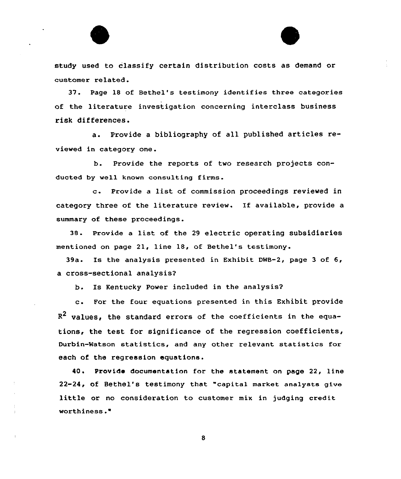

37. Page 18 of Bethel's testimony identifies three categories of the literature investigation concerning interclass business risk differences.

a. Provide <sup>a</sup> bibliography of all published articles reviewed in category one.

b. Provide the reports of two research projects conducted by well known consulting firms.

c. Provide <sup>a</sup> list of commission proceedings reviewed in category three of the literature review. If available, provide a summary of these proceedings.

38. provide <sup>a</sup> list of the <sup>29</sup> electric operating subsidiaries mentioned on page 21, line 18, of Bethel's testimony.

39a. Is the analysis presented in Exhibit DNB-2, page 3 of 6, a cross-sectional analysis?

b. Is Kentucky Power included in the analysis?

c. For the four equations presented in this Exhibit provide  $R<sup>2</sup>$  values, the standard errors of the coefficients in the equations, the test for significance of the regression coefficients, Durbin-watson statistics, and any other relevant statistics for each of the regression equations.

40. Provide documentation for the statement on page 22, line 22-24, of Bethel's testimony that "capital market analysts 91.ve little or no consideration to customer mix in judging credit worthiness."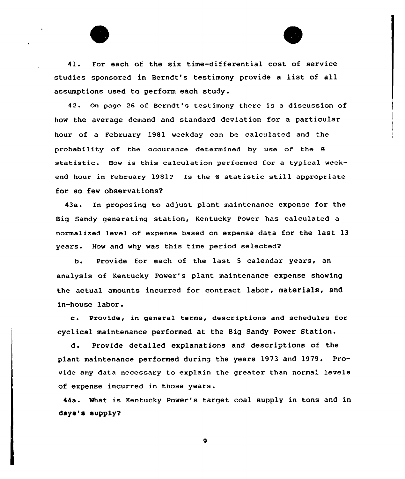



41. For each of the six time-differential cost of service studies sponsored in Berndt's testimony provide <sup>a</sup> list of all assumptions used to perform each study.

42. On page 26 of Berndt's testimony there is a discussion of how the average demand and standard deviation for a particular hour of a February 19B1 weekday can be calculated and the probability of the occurance determined by use of the S statistic. How is this calculation performed for <sup>a</sup> typical weekend hour in February 1981? Is the *8* statistic still appropriate for so few observations?

43a. En proposing to adjust plant maintenance expense for the Big Sandy generating station, Kentucky Power has calculated a normalized level of expense based on expense data for the last 13 years. Hov and vhy was this time period selected?

b. Provide for each of the last <sup>5</sup> calendar years, an analysis of Kentucky Power's plant maintenance expense shoving the actual amounts incurred for contract labor, materials, and in-house labor.

c. Provide, in genera1 terms, descriptions and schedules for cyclical maintenance performed at the Big Sandy Pover Station.

d. Provide detailed explanations and descriptions of the plant maintenance performed during the years 1973 and 1979. Provide any data necessary to explain the greater than normal levels of expense incurred in those years.

44a. What is Kentucky Power's target coal supply in tons and in days's supply?